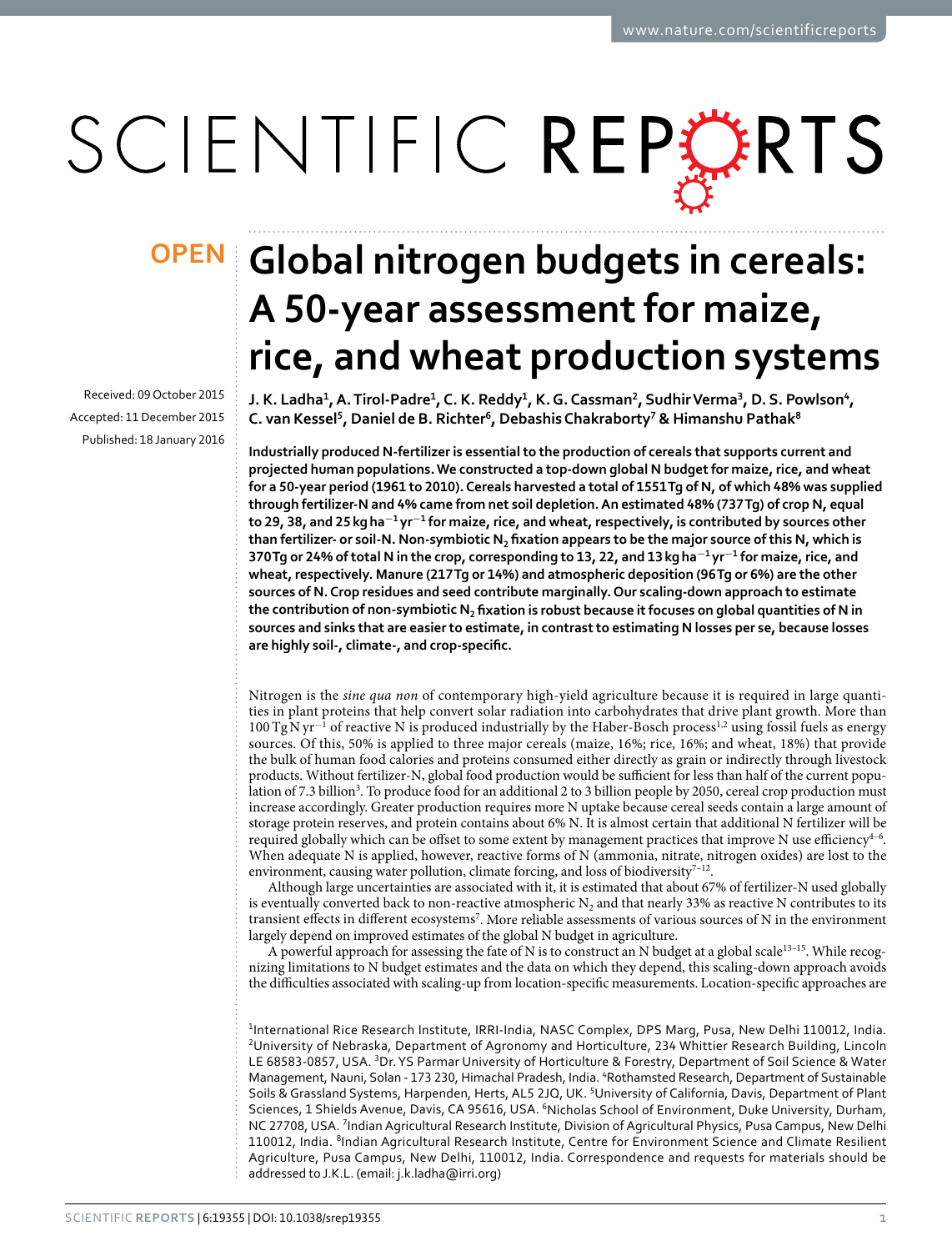# SCIENTIFIC REPERTS

Received: 09 October 2015 Accepted: 11 December 2015 Published: 18 January 2016

## **Global nitrogen budgets in cereals: OPENA 50-year assessment for maize, rice, and wheat production systems**

**J. K. Ladha<sup>1</sup> , A. Tirol-Padre<sup>1</sup> , C. K. Reddy<sup>1</sup> , K. G. Cassman<sup>2</sup> , Sudhir Verma<sup>3</sup> , D. S. Powlson<sup>4</sup> , C. van Kessel<sup>5</sup> , Daniel de B. Richter<sup>6</sup> , Debashis Chakraborty<sup>7</sup> & Himanshu Pathak<sup>8</sup>**

**Industrially produced N-fertilizer is essential to the production of cereals that supports current and projected human populations. We constructed a top-down global N budget for maize, rice, and wheat for a 50-year period (1961 to 2010). Cereals harvested a total of 1551 Tg of N, of which 48% was supplied through fertilizer-N and 4% came from net soil depletion. An estimated 48% (737 Tg) of crop N, equal** to 29, 38, and 25 kg ha<sup>−1</sup> yr<sup>−1</sup> for maize, rice, and wheat, respectively, is contributed by sources other **than fertilizer- or soil-N. Non-symbiotic N<sup>2</sup> fixation appears to be the major source of this N, which is 370 Tg or 24% of total N in the crop, corresponding to 13, 22, and 13 kg ha<sup>−</sup><sup>1</sup> yr<sup>−</sup><sup>1</sup> for maize, rice, and wheat, respectively. Manure (217 Tg or 14%) and atmospheric deposition (96 Tg or 6%) are the other sources of N. Crop residues and seed contribute marginally. Our scaling-down approach to estimate the contribution of non-symbiotic N<sup>2</sup> fixation is robust because it focuses on global quantities of N in sources and sinks that are easier to estimate, in contrast to estimating N losses per se, because losses are highly soil-, climate-, and crop-specific.**

Nitrogen is the *sine qua non* of contemporary high-yield agriculture because it is required in large quantities in plant proteins that help convert solar radiation into carbohydrates that drive plant growth. More than [1](#page-7-0)00 TgN yr<sup>-1</sup> of reactive N is produced industrially by the Haber-Bosch process<sup>1[,2](#page-7-1)</sup> using fossil fuels as energy sources. Of this, 50% is applied to three major cereals (maize, 16%; rice, 16%; and wheat, 18%) that provide the bulk of human food calories and proteins consumed either directly as grain or indirectly through livestock products. Without fertilizer-N, global food production would be sufficient for less than half of the current popu-lation of 7.[3](#page-7-2) billion<sup>3</sup>. To produce food for an additional 2 to 3 billion people by 2050, cereal crop production must increase accordingly. Greater production requires more N uptake because cereal seeds contain a large amount of storage protein reserves, and protein contains about 6% N. It is almost certain that additional N fertilizer will be required globally which can be offset to some extent by management practices that improve N use efficiency<sup>4-6</sup>. When adequate N is applied, however, reactive forms of N (ammonia, nitrate, nitrogen oxides) are lost to the environment, causing water pollution, climate forcing, and loss of biodiversity $7-12$ .

Although large uncertainties are associated with it, it is estimated that about 67% of fertilizer-N used globally is eventually converted back to non-reactive atmospheric  $N_2$  and that nearly 33% as reactive N contributes to its transient effects in different ecosystems<sup>[7](#page-7-4)</sup>. More reliable assessments of various sources of N in the environment largely depend on improved estimates of the global N budget in agriculture.

A powerful approach for assessing the fate of N is to construct an N budget at a global scale[13–15](#page-7-5). While recognizing limitations to N budget estimates and the data on which they depend, this scaling-down approach avoids the difficulties associated with scaling-up from location-specific measurements. Location-specific approaches are

<sup>1</sup>International Rice Research Institute, IRRI-India, NASC Complex, DPS Marg, Pusa, New Delhi 110012, India. <sup>2</sup>University of Nebraska, Department of Agronomy and Horticulture, 234 Whittier Research Building, Lincoln LE 68583-0857, USA. <sup>3</sup>Dr. YS Parmar University of Horticulture & Forestry, Department of Soil Science & Water Management, Nauni, Solan - 173 230, Himachal Pradesh, India. <sup>4</sup>Rothamsted Research, Department of Sustainable Soils & Grassland Systems, Harpenden, Herts, AL5 2JQ, UK. <sup>5</sup>University of California, Davis, Department of Plant Sciences, 1 Shields Avenue, Davis, CA 95616, USA. <sup>6</sup>Nicholas School of Environment, Duke University, Durham, NC 27708, USA. <sup>7</sup> Indian Agricultural Research Institute, Division of Agricultural Physics, Pusa Campus, New Delhi 110012, India. <sup>8</sup>Indian Agricultural Research Institute, Centre for Environment Science and Climate Resilient Agriculture, Pusa Campus, New Delhi, 110012, India. Correspondence and requests for materials should be addressed to J.K.L. (email: [j.k.ladha@irri.org](mailto:j.k.ladha@irri.org))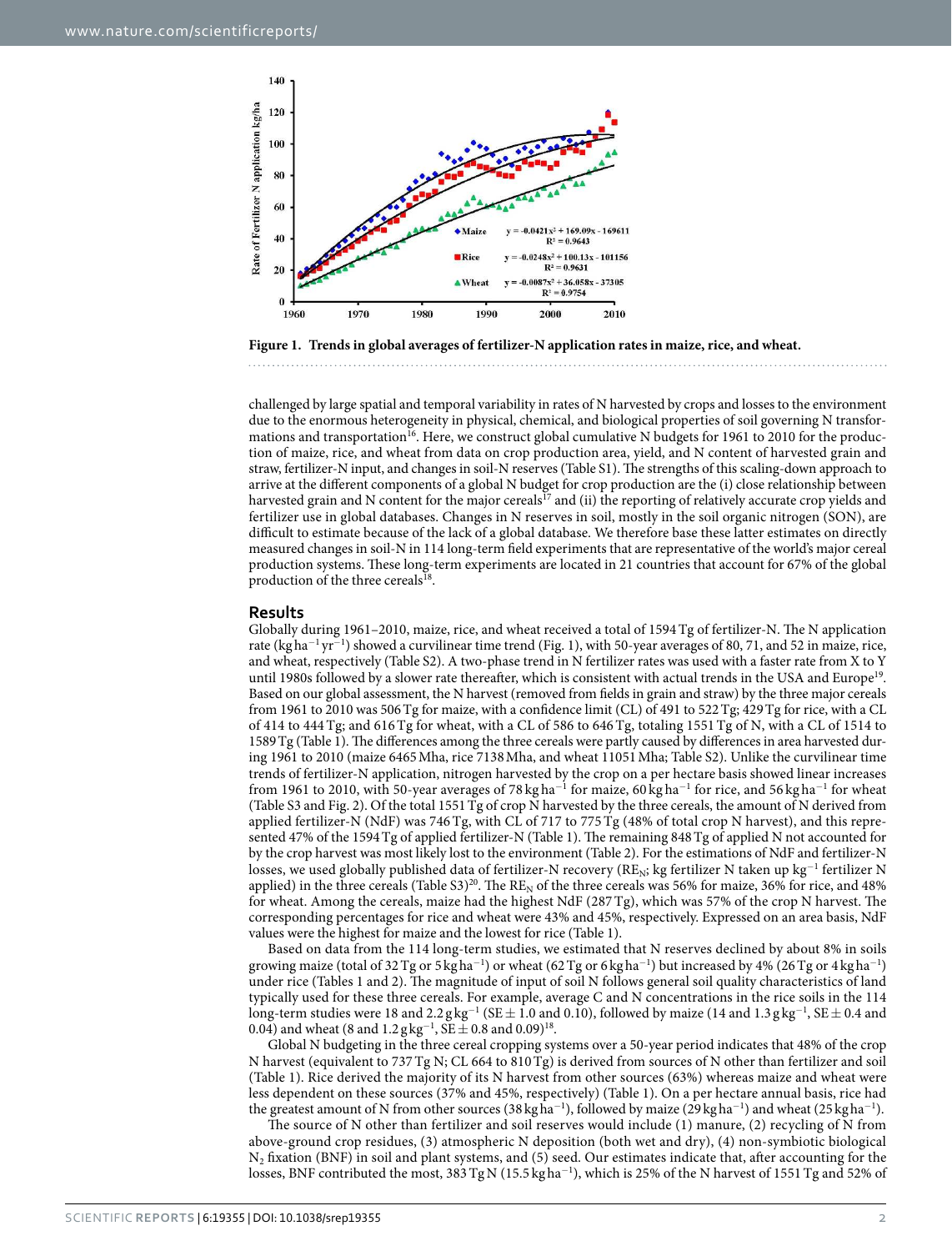

<span id="page-1-0"></span>

challenged by large spatial and temporal variability in rates of N harvested by crops and losses to the environment due to the enormous heterogeneity in physical, chemical, and biological properties of soil governing N transfor-mations and transportation<sup>[16](#page-7-6)</sup>. Here, we construct global cumulative N budgets for 1961 to 2010 for the production of maize, rice, and wheat from data on crop production area, yield, and N content of harvested grain and straw, fertilizer-N input, and changes in soil-N reserves (Table S1). The strengths of this scaling-down approach to arrive at the different components of a global N budget for crop production are the (i) close relationship between harvested grain and N content for the major cereals<sup>[17](#page-7-7)</sup> and (ii) the reporting of relatively accurate crop yields and fertilizer use in global databases. Changes in N reserves in soil, mostly in the soil organic nitrogen (SON), are difficult to estimate because of the lack of a global database. We therefore base these latter estimates on directly measured changes in soil-N in 114 long-term field experiments that are representative of the world's major cereal production systems. These long-term experiments are located in 21 countries that account for 67% of the global production of the three cereals<sup>[18](#page-7-8)</sup>.

#### **Results**

Globally during 1961–2010, maize, rice, and wheat received a total of 1594 Tg of fertilizer-N. The N application rate (kg ha<sup>-1</sup> yr<sup>-1</sup>) showed a curvilinear time trend ([Fig. 1](#page-1-0)), with 50-year averages of 80, 71, and 52 in maize, rice, and wheat, respectively (Table S2). A two-phase trend in N fertilizer rates was used with a faster rate from X to Y until [19](#page-7-9)80s followed by a slower rate thereafter, which is consistent with actual trends in the USA and Europe<sup>19</sup>. Based on our global assessment, the N harvest (removed from fields in grain and straw) by the three major cereals from 1961 to 2010 was 506 Tg for maize, with a confidence limit (CL) of 491 to 522 Tg; 429 Tg for rice, with a CL of 414 to 444 Tg; and 616 Tg for wheat, with a CL of 586 to 646 Tg, totaling 1551 Tg of N, with a CL of 1514 to 1589 Tg [\(Table 1](#page-2-0)). The differences among the three cereals were partly caused by differences in area harvested during 1961 to 2010 (maize 6465 Mha, rice 7138 Mha, and wheat 11051 Mha; Table S2). Unlike the curvilinear time trends of fertilizer-N application, nitrogen harvested by the crop on a per hectare basis showed linear increases from 1961 to 2010, with 50-year averages of 78 kg ha<sup>-1</sup> for maize, 60 kg ha<sup>-1</sup> for rice, and 56 kg ha<sup>-1</sup> for wheat (Table S3 and [Fig. 2\)](#page-2-1). Of the total 1551 Tg of crop N harvested by the three cereals, the amount of N derived from applied fertilizer-N (NdF) was 746 Tg, with CL of 717 to 775 Tg (48% of total crop N harvest), and this represented 47% of the 1594 Tg of applied fertilizer-N [\(Table 1\)](#page-2-0). The remaining 848 Tg of applied N not accounted for by the crop harvest was most likely lost to the environment [\(Table 2\)](#page-3-0). For the estimations of NdF and fertilizer-N losses, we used globally published data of fertilizer-N recovery (RE<sub>N</sub>; kg fertilizer N taken up kg<sup>−1</sup> fertilizer N applied) in the three cereals (Table S3)<sup>[20](#page-7-10)</sup>. The RE<sub>N</sub> of the three cereals was 56% for maize, 36% for rice, and 48% for wheat. Among the cereals, maize had the highest NdF (287 Tg), which was 57% of the crop N harvest. The corresponding percentages for rice and wheat were 43% and 45%, respectively. Expressed on an area basis, NdF values were the highest for maize and the lowest for rice ([Table 1](#page-2-0)).

Based on data from the 114 long-term studies, we estimated that N reserves declined by about 8% in soils growing maize (total of 32 Tg or 5 kg ha<sup>-1</sup>) or wheat (62 Tg or 6 kg ha<sup>-1</sup>) but increased by 4% (26 Tg or 4 kg ha<sup>-1</sup>) under rice [\(Tables 1](#page-2-0) and [2](#page-3-0)). The magnitude of input of soil N follows general soil quality characteristics of land typically used for these three cereals. For example, average C and N concentrations in the rice soils in the 114 long-term studies were 18 and 2.2 g kg $^{-1}$  (SE  $\pm$  1.0 and 0.10), followed by maize (14 and 1.3 g kg $^{-1}$ , SE  $\pm$  0.4 and 0.04) and wheat (8 and  $1.2$  g kg<sup>-1</sup>, SE  $\pm$  0.8 and 0.09)<sup>[18](#page-7-8)</sup>.

Global N budgeting in the three cereal cropping systems over a 50-year period indicates that 48% of the crop N harvest (equivalent to 737 Tg N; CL 664 to 810 Tg) is derived from sources of N other than fertilizer and soil ([Table 1](#page-2-0)). Rice derived the majority of its N harvest from other sources (63%) whereas maize and wheat were less dependent on these sources (37% and 45%, respectively) ([Table 1](#page-2-0)). On a per hectare annual basis, rice had the greatest amount of N from other sources (38 kgha<sup>-1</sup>), followed by maize (29 kgha<sup>-1</sup>) and wheat (25 kgha<sup>-1</sup>).

The source of N other than fertilizer and soil reserves would include (1) manure, (2) recycling of N from above-ground crop residues, (3) atmospheric N deposition (both wet and dry), (4) non-symbiotic biological  $N_2$  fixation (BNF) in soil and plant systems, and (5) seed. Our estimates indicate that, after accounting for the losses, BNF contributed the most, 383 Tg N (15.5 kg ha<sup>-1</sup>), which is 25% of the N harvest of 1551 Tg and 52% of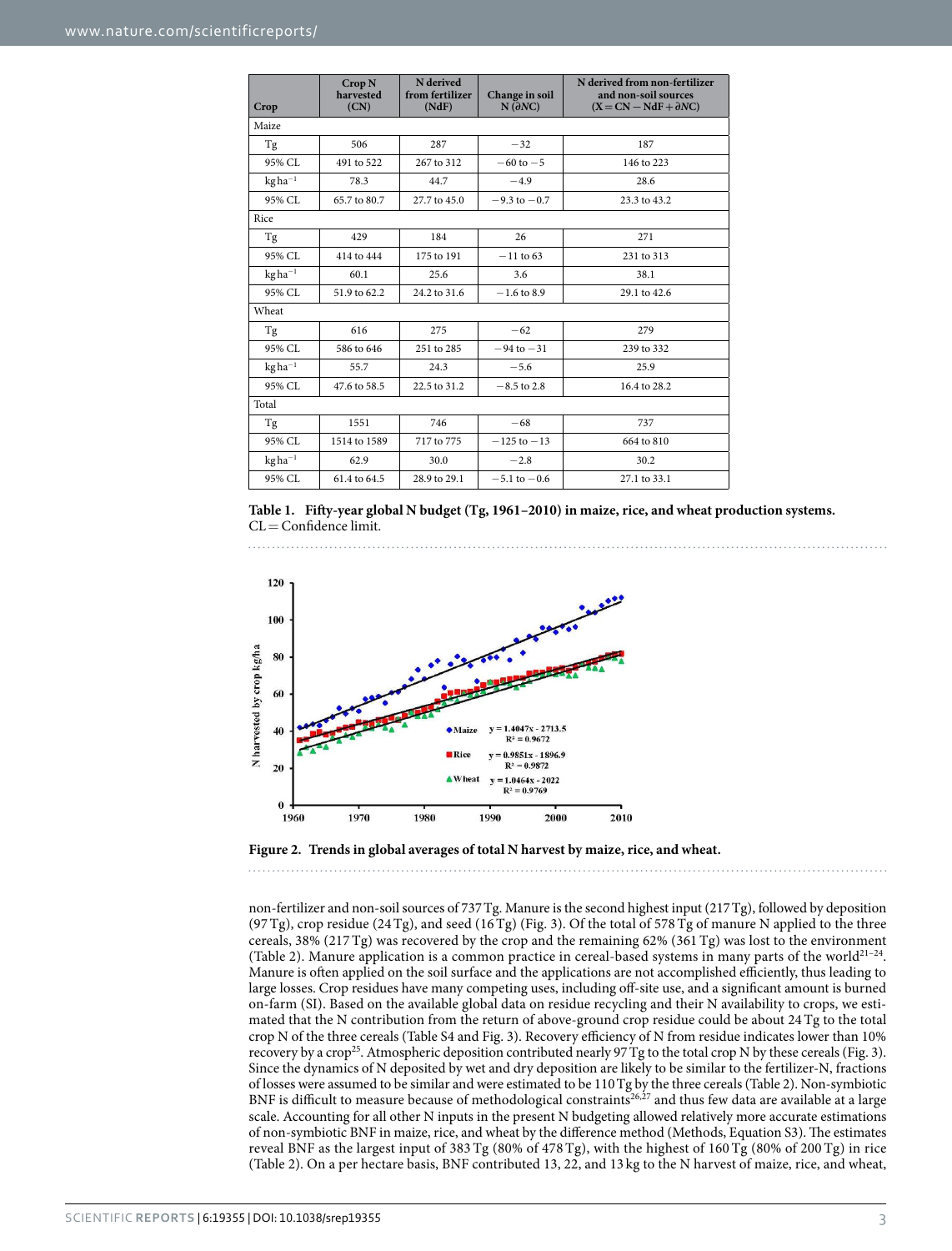<span id="page-2-0"></span>

| Crop        | Crop <sub>N</sub><br>harvested<br>(CN) | N derived<br>from fertilizer<br>(NdF) | Change in soil<br>$N(\partial NC)$ | N derived from non-fertilizer<br>and non-soil sources<br>$(X = CN - NdF + \partial NC)$ |  |  |  |  |
|-------------|----------------------------------------|---------------------------------------|------------------------------------|-----------------------------------------------------------------------------------------|--|--|--|--|
| Maize       |                                        |                                       |                                    |                                                                                         |  |  |  |  |
| Tg          | 506                                    | 287                                   | $-32$                              | 187                                                                                     |  |  |  |  |
| 95% CL      | 491 to 522                             | 267 to 312                            | $-60$ to $-5$                      | 146 to 223                                                                              |  |  |  |  |
| $kgha^{-1}$ | 78.3                                   | 44.7                                  | $-4.9$                             | 28.6                                                                                    |  |  |  |  |
| 95% CL      | 65.7 to 80.7                           | 27.7 to 45.0                          | $-9.3$ to $-0.7$                   | 23.3 to 43.2                                                                            |  |  |  |  |
| Rice        |                                        |                                       |                                    |                                                                                         |  |  |  |  |
| Tg          | 429                                    | 184                                   | 26                                 | 271                                                                                     |  |  |  |  |
| 95% CL      | 414 to 444                             | 175 to 191                            | $-11$ to 63                        | 231 to 313                                                                              |  |  |  |  |
| $kgha^{-1}$ | 60.1                                   | 25.6                                  | 3.6                                | 38.1                                                                                    |  |  |  |  |
| 95% CL      | 51.9 to 62.2                           | 24.2 to 31.6                          | $-1.6$ to 8.9                      | 29.1 to 42.6                                                                            |  |  |  |  |
| Wheat       |                                        |                                       |                                    |                                                                                         |  |  |  |  |
| Tg          | 616                                    | 275                                   | $-62$                              | 279                                                                                     |  |  |  |  |
| 95% CL      | 586 to 646                             | 251 to 285                            | $-94$ to $-31$                     | 239 to 332                                                                              |  |  |  |  |
| $kgha^{-1}$ | 55.7                                   | 24.3                                  | $-5.6$                             | 25.9                                                                                    |  |  |  |  |
| 95% CL      | 47.6 to 58.5                           | 22.5 to 31.2                          | $-8.5$ to 2.8                      | 16.4 to 28.2                                                                            |  |  |  |  |
| Total       |                                        |                                       |                                    |                                                                                         |  |  |  |  |
| Tg          | 1551                                   | 746                                   | $-68$                              | 737                                                                                     |  |  |  |  |
| 95% CL      | 1514 to 1589                           | 717 to 775                            | $-125$ to $-13$                    | 664 to 810                                                                              |  |  |  |  |
| $kgha^{-1}$ | 62.9                                   | 30.0                                  | $-2.8$                             | 30.2                                                                                    |  |  |  |  |
| 95% CL      | 61.4 to 64.5                           | 28.9 to 29.1                          | $-5.1$ to $-0.6$                   | 27.1 to 33.1                                                                            |  |  |  |  |





<span id="page-2-1"></span>

non-fertilizer and non-soil sources of 737 Tg. Manure is the second highest input (217 Tg), followed by deposition (97 Tg), crop residue (24 Tg), and seed (16 Tg) ([Fig. 3\)](#page-3-1). Of the total of 578 Tg of manure N applied to the three cereals, 38% (217 Tg) was recovered by the crop and the remaining 62% (361 Tg) was lost to the environment ([Table 2](#page-3-0)). Manure application is a common practice in cereal-based systems in many parts of the world<sup>21-24</sup>. Manure is often applied on the soil surface and the applications are not accomplished efficiently, thus leading to large losses. Crop residues have many competing uses, including off-site use, and a significant amount is burned on-farm (SI). Based on the available global data on residue recycling and their N availability to crops, we estimated that the N contribution from the return of above-ground crop residue could be about 24 Tg to the total crop N of the three cereals (Table S4 and [Fig. 3](#page-3-1)). Recovery efficiency of N from residue indicates lower than 10% recovery by a crop<sup>[25](#page-7-12)</sup>. Atmospheric deposition contributed nearly 97 Tg to the total crop N by these cereals [\(Fig. 3\)](#page-3-1). Since the dynamics of N deposited by wet and dry deposition are likely to be similar to the fertilizer-N, fractions of losses were assumed to be similar and were estimated to be 110 Tg by the three cereals [\(Table 2](#page-3-0)). Non-symbiotic BNF is difficult to measure because of methodological constraints<sup>[26](#page-7-13),[27](#page-7-14)</sup> and thus few data are available at a large scale. Accounting for all other N inputs in the present N budgeting allowed relatively more accurate estimations of non-symbiotic BNF in maize, rice, and wheat by the difference method (Methods, Equation S3). The estimates reveal BNF as the largest input of 383 Tg (80% of 478 Tg), with the highest of 160 Tg (80% of 200 Tg) in rice ([Table 2\)](#page-3-0). On a per hectare basis, BNF contributed 13, 22, and 13 kg to the N harvest of maize, rice, and wheat,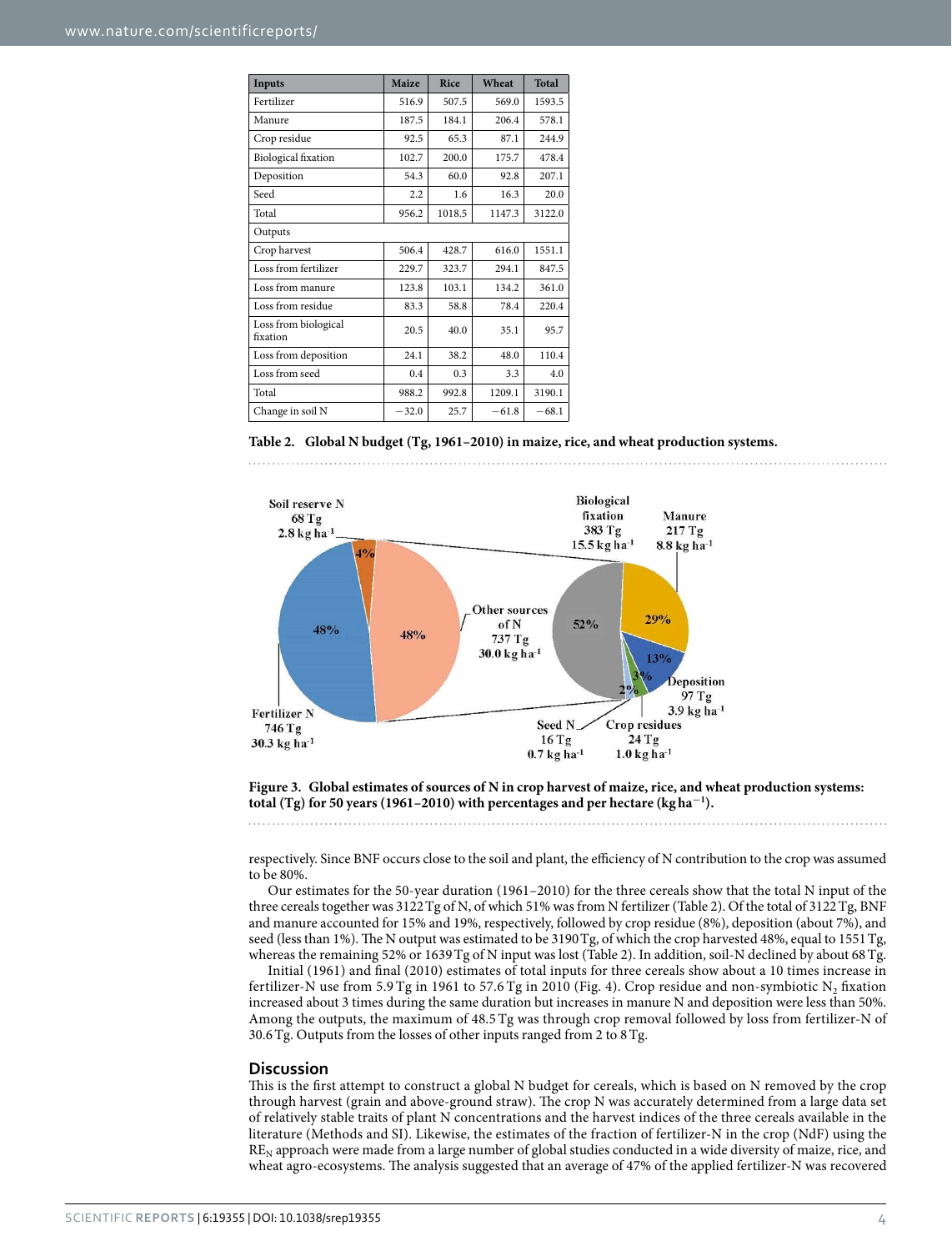<span id="page-3-0"></span>

| Inputs                           | Maize   | Rice   | Wheat   | <b>Total</b> |  |  |  |
|----------------------------------|---------|--------|---------|--------------|--|--|--|
| Fertilizer                       | 516.9   | 507.5  | 569.0   | 1593.5       |  |  |  |
| Manure                           | 187.5   | 184.1  | 206.4   | 578.1        |  |  |  |
| Crop residue                     | 92.5    | 65.3   | 87.1    | 244.9        |  |  |  |
| <b>Biological</b> fixation       | 102.7   | 200.0  | 175.7   | 478.4        |  |  |  |
| Deposition                       | 54.3    | 60.0   | 92.8    | 207.1        |  |  |  |
| Seed                             | 2.2     | 1.6    | 16.3    | 20.0         |  |  |  |
| Total                            | 956.2   | 1018.5 | 1147.3  | 3122.0       |  |  |  |
| Outputs                          |         |        |         |              |  |  |  |
| Crop harvest                     | 506.4   | 428.7  | 616.0   | 1551.1       |  |  |  |
| Loss from fertilizer             | 229.7   | 323.7  | 294.1   | 847.5        |  |  |  |
| Loss from manure                 | 123.8   | 103.1  | 134.2   | 361.0        |  |  |  |
| Loss from residue                | 83.3    | 58.8   | 78.4    | 220.4        |  |  |  |
| Loss from biological<br>fixation | 20.5    | 40.0   | 35.1    | 95.7         |  |  |  |
| Loss from deposition             | 24.1    | 38.2   | 48.0    | 110.4        |  |  |  |
| Loss from seed                   | 0.4     | 0.3    | 3.3     | 4.0          |  |  |  |
| Total                            | 988.2   | 992.8  | 1209.1  | 3190.1       |  |  |  |
| Change in soil N                 | $-32.0$ | 25.7   | $-61.8$ | $-68.1$      |  |  |  |

#### **Table 2. Global N budget (Tg, 1961–2010) in maize, rice, and wheat production systems.**



<span id="page-3-1"></span>**Figure 3. Global estimates of sources of N in crop harvest of maize, rice, and wheat production systems: total (Tg) for 50 years (1961–2010) with percentages and per hectare (kg ha<sup>−</sup><sup>1</sup> ).** 

respectively. Since BNF occurs close to the soil and plant, the efficiency of N contribution to the crop was assumed to be 80%.

Our estimates for the 50-year duration (1961–2010) for the three cereals show that the total N input of the three cereals together was 3122 Tg of N, of which 51% was from N fertilizer ([Table 2\)](#page-3-0). Of the total of 3122 Tg, BNF and manure accounted for 15% and 19%, respectively, followed by crop residue (8%), deposition (about 7%), and seed (less than 1%). The N output was estimated to be 3190 Tg, of which the crop harvested 48%, equal to 1551 Tg, whereas the remaining 52% or 1639 Tg of N input was lost [\(Table 2\)](#page-3-0). In addition, soil-N declined by about 68 Tg.

Initial (1961) and final (2010) estimates of total inputs for three cereals show about a 10 times increase in fertilizer-N use from 5.9 Tg in 1961 to 57.6 Tg in 2010 [\(Fig. 4](#page-4-0)). Crop residue and non-symbiotic  $\mathrm{N}_2$  fixation increased about 3 times during the same duration but increases in manure N and deposition were less than 50%. Among the outputs, the maximum of 48.5 Tg was through crop removal followed by loss from fertilizer-N of 30.6 Tg. Outputs from the losses of other inputs ranged from 2 to 8 Tg.

#### **Discussion**

This is the first attempt to construct a global N budget for cereals, which is based on N removed by the crop through harvest (grain and above-ground straw). The crop N was accurately determined from a large data set of relatively stable traits of plant N concentrations and the harvest indices of the three cereals available in the literature (Methods and SI). Likewise, the estimates of the fraction of fertilizer-N in the crop (NdF) using the  $RE<sub>N</sub>$  approach were made from a large number of global studies conducted in a wide diversity of maize, rice, and wheat agro-ecosystems. The analysis suggested that an average of 47% of the applied fertilizer-N was recovered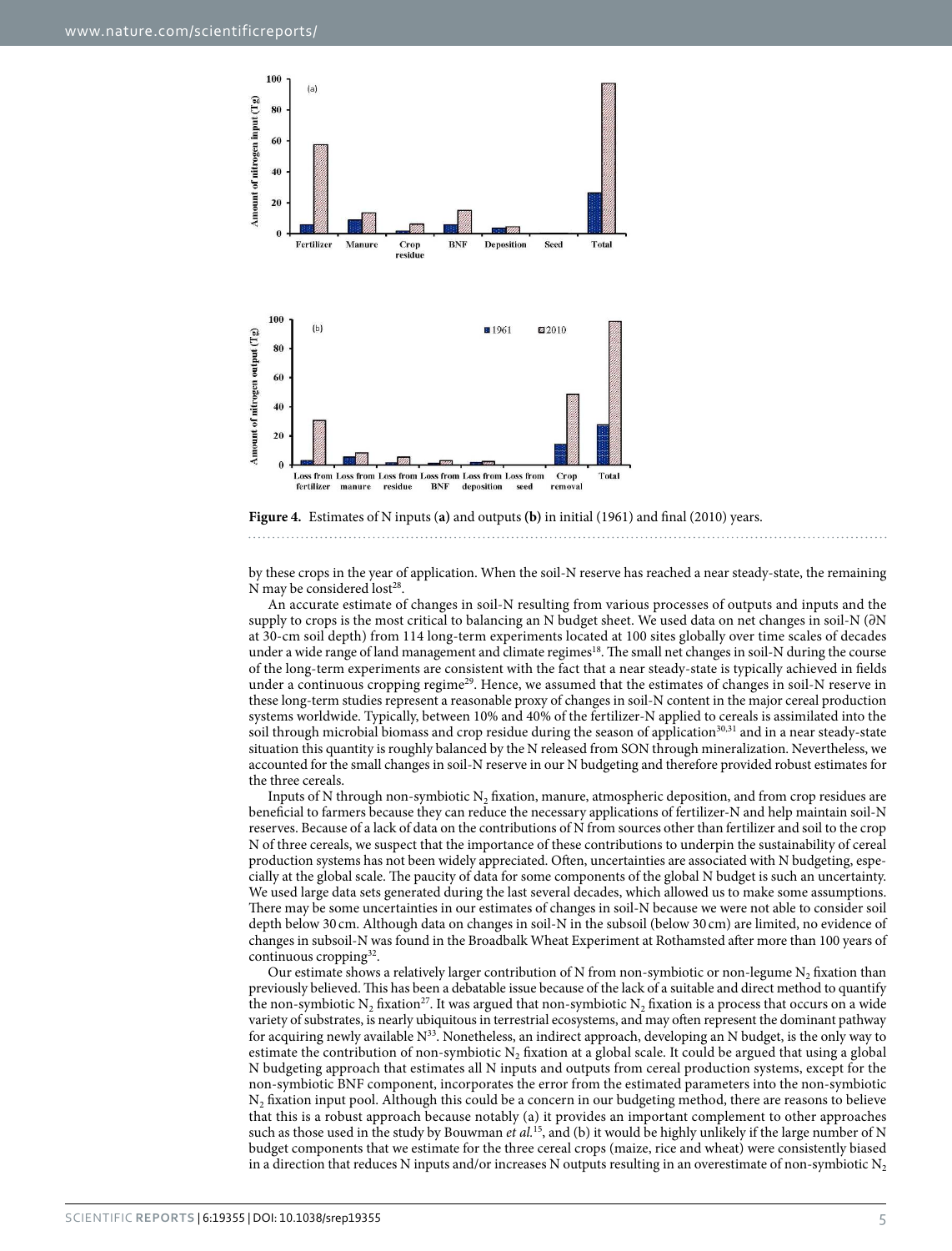

<span id="page-4-0"></span>

by these crops in the year of application. When the soil-N reserve has reached a near steady-state, the remaining N may be considered lost<sup>[28](#page-8-0)</sup>.

An accurate estimate of changes in soil-N resulting from various processes of outputs and inputs and the supply to crops is the most critical to balancing an N budget sheet. We used data on net changes in soil-N (∂N at 30-cm soil depth) from 114 long-term experiments located at 100 sites globally over time scales of decades under a wide range of land management and climate regimes<sup>[18](#page-7-8)</sup>. The small net changes in soil-N during the course of the long-term experiments are consistent with the fact that a near steady-state is typically achieved in fields under a continuous cropping regime<sup>[29](#page-8-1)</sup>. Hence, we assumed that the estimates of changes in soil-N reserve in these long-term studies represent a reasonable proxy of changes in soil-N content in the major cereal production systems worldwide. Typically, between 10% and 40% of the fertilizer-N applied to cereals is assimilated into the soil through microbial biomass and crop residue during the season of application<sup>[30](#page-8-2)[,31](#page-8-3)</sup> and in a near steady-state situation this quantity is roughly balanced by the N released from SON through mineralization. Nevertheless, we accounted for the small changes in soil-N reserve in our N budgeting and therefore provided robust estimates for the three cereals.

Inputs of N through non-symbiotic  $N_2$  fixation, manure, atmospheric deposition, and from crop residues are beneficial to farmers because they can reduce the necessary applications of fertilizer-N and help maintain soil-N reserves. Because of a lack of data on the contributions of N from sources other than fertilizer and soil to the crop N of three cereals, we suspect that the importance of these contributions to underpin the sustainability of cereal production systems has not been widely appreciated. Often, uncertainties are associated with N budgeting, especially at the global scale. The paucity of data for some components of the global N budget is such an uncertainty. We used large data sets generated during the last several decades, which allowed us to make some assumptions. There may be some uncertainties in our estimates of changes in soil-N because we were not able to consider soil depth below 30 cm. Although data on changes in soil-N in the subsoil (below 30 cm) are limited, no evidence of changes in subsoil-N was found in the Broadbalk Wheat Experiment at Rothamsted after more than 100 years of continuous cropping<sup>[32](#page-8-4)</sup>.

Our estimate shows a relatively larger contribution of N from non-symbiotic or non-legume  $N_2$  fixation than previously believed. This has been a debatable issue because of the lack of a suitable and direct method to quantify the non-symbiotic  $N_2$  fixation<sup>[27](#page-7-14)</sup>. It was argued that non-symbiotic  $N_2$  fixation is a process that occurs on a wide variety of substrates, is nearly ubiquitous in terrestrial ecosystems, and may often represent the dominant pathway for acquiring newly available N<sup>[33](#page-8-5)</sup>. Nonetheless, an indirect approach, developing an N budget, is the only way to estimate the contribution of non-symbiotic  $N_2$  fixation at a global scale. It could be argued that using a global N budgeting approach that estimates all N inputs and outputs from cereal production systems, except for the non-symbiotic BNF component, incorporates the error from the estimated parameters into the non-symbiotic  $\rm N_2$  fixation input pool. Although this could be a concern in our budgeting method, there are reasons to believe that this is a robust approach because notably (a) it provides an important complement to other approaches such as those used in the study by Bouwman *et al.*<sup>[15](#page-7-15)</sup>, and (b) it would be highly unlikely if the large number of N budget components that we estimate for the three cereal crops (maize, rice and wheat) were consistently biased in a direction that reduces N inputs and/or increases N outputs resulting in an overestimate of non-symbiotic  $N_2$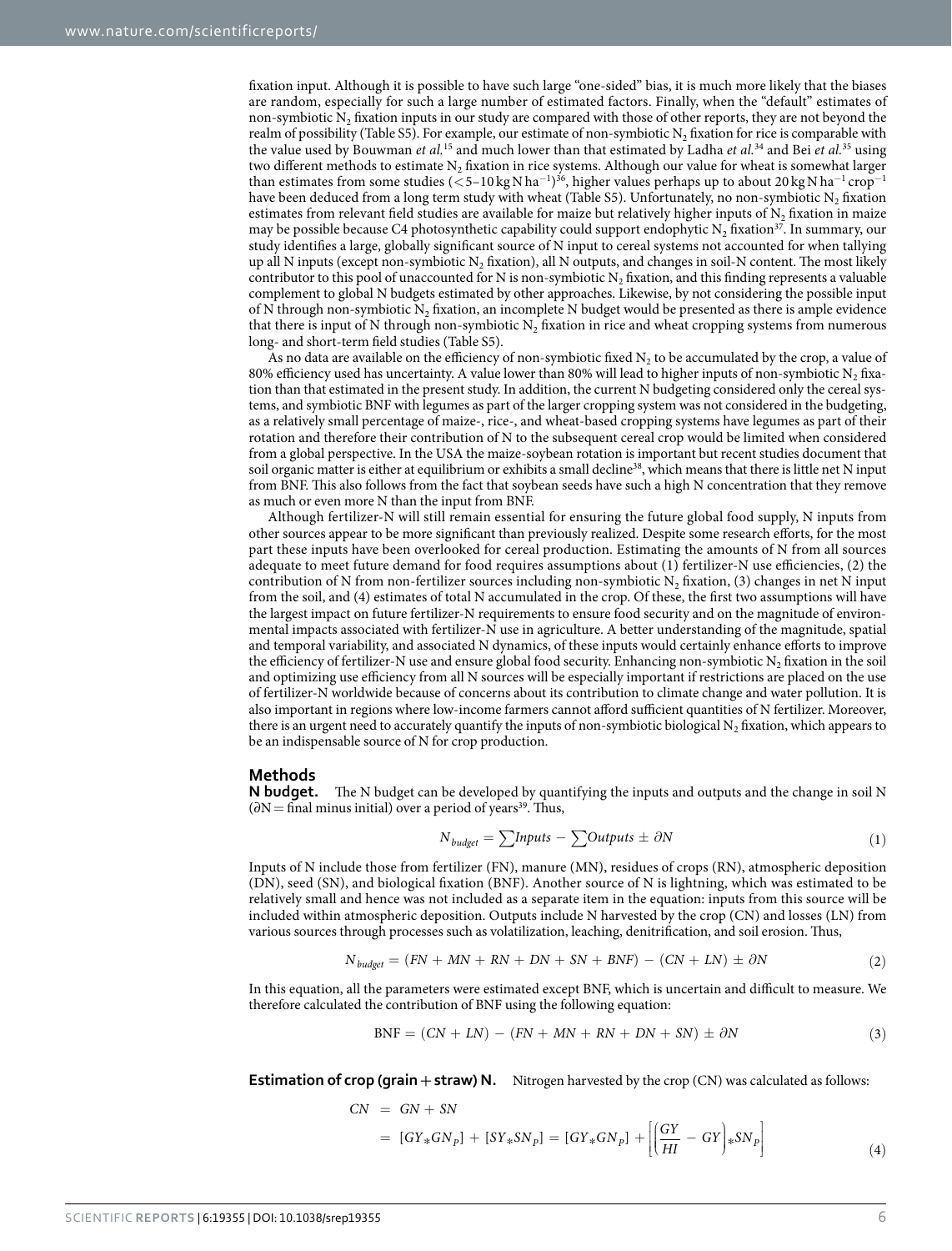fixation input. Although it is possible to have such large "one-sided" bias, it is much more likely that the biases are random, especially for such a large number of estimated factors. Finally, when the "default" estimates of non-symbiotic  $N_2$  fixation inputs in our study are compared with those of other reports, they are not beyond the realm of possibility (Table S5). For example, our estimate of non-symbiotic  $N_2$  fixation for rice is comparable with the value used by Bouwman *et al.*<sup>[15](#page-7-15)</sup> and much lower than that estimated by Ladha *et al.*<sup>[34](#page-8-6)</sup> and Bei *et al.*<sup>[35](#page-8-7)</sup> using two different methods to estimate  $N_2$  fixation in rice systems. Although our value for wheat is somewhat larger than estimates from some studies (<5–10 kg N ha<sup>−1)[36](#page-8-8)</sup>, higher values perhaps up to about 20 kg N ha<sup>−1</sup> crop<sup>−1</sup> have been deduced from a long term study with wheat (Table S5). Unfortunately, no non-symbiotic  $N_2$  fixation estimates from relevant field studies are available for maize but relatively higher inputs of  $\mathrm{N}_2$  fixation in maize may be possible because C4 photosynthetic capability could support endophytic  $N_2$  fixation<sup>[37](#page-8-9)</sup>. In summary, our study identifies a large, globally significant source of N input to cereal systems not accounted for when tallying up all N inputs (except non-symbiotic N<sub>2</sub> fixation), all N outputs, and changes in soil-N content. The most likely contributor to this pool of unaccounted for N is non-symbiotic  $N_2$  fixation, and this finding represents a valuable complement to global N budgets estimated by other approaches. Likewise, by not considering the possible input of N through non-symbiotic  $N_2$  fixation, an incomplete N budget would be presented as there is ample evidence that there is input of N through non-symbiotic  $N_2$  fixation in rice and wheat cropping systems from numerous long- and short-term field studies (Table S5).

As no data are available on the efficiency of non-symbiotic fixed  $N_2$  to be accumulated by the crop, a value of 80% efficiency used has uncertainty. A value lower than 80% will lead to higher inputs of non-symbiotic N<sub>2</sub> fixation than that estimated in the present study. In addition, the current N budgeting considered only the cereal systems, and symbiotic BNF with legumes as part of the larger cropping system was not considered in the budgeting, as a relatively small percentage of maize-, rice-, and wheat-based cropping systems have legumes as part of their rotation and therefore their contribution of N to the subsequent cereal crop would be limited when considered from a global perspective. In the USA the maize-soybean rotation is important but recent studies document that soil organic matter is either at equilibrium or exhibits a small decline<sup>[38](#page-8-10)</sup>, which means that there is little net N input from BNF. This also follows from the fact that soybean seeds have such a high N concentration that they remove as much or even more N than the input from BNF.

Although fertilizer-N will still remain essential for ensuring the future global food supply, N inputs from other sources appear to be more significant than previously realized. Despite some research efforts, for the most part these inputs have been overlooked for cereal production. Estimating the amounts of N from all sources adequate to meet future demand for food requires assumptions about (1) fertilizer-N use efficiencies, (2) the contribution of N from non-fertilizer sources including non-symbiotic N<sub>2</sub> fixation, (3) changes in net N input from the soil, and (4) estimates of total N accumulated in the crop. Of these, the first two assumptions will have the largest impact on future fertilizer-N requirements to ensure food security and on the magnitude of environmental impacts associated with fertilizer-N use in agriculture. A better understanding of the magnitude, spatial and temporal variability, and associated N dynamics, of these inputs would certainly enhance efforts to improve the efficiency of fertilizer-N use and ensure global food security. Enhancing non-symbiotic  $N_2$  fixation in the soil and optimizing use efficiency from all N sources will be especially important if restrictions are placed on the use of fertilizer-N worldwide because of concerns about its contribution to climate change and water pollution. It is also important in regions where low-income farmers cannot afford sufficient quantities of N fertilizer. Moreover, there is an urgent need to accurately quantify the inputs of non-symbiotic biological  $N_2$  fixation, which appears to be an indispensable source of N for crop production.

### **Methods**

**N budget.** The N budget can be developed by quantifying the inputs and outputs and the change in soil N  $(∂N = final minus initial) over a period of years<sup>39</sup>. Thus,$  $(∂N = final minus initial) over a period of years<sup>39</sup>. Thus,$  $(∂N = final minus initial) over a period of years<sup>39</sup>. Thus,$ 

$$
N_{budget} = \sum Inputs - \sum Outputs \pm \partial N \tag{1}
$$

Inputs of N include those from fertilizer (FN), manure (MN), residues of crops (RN), atmospheric deposition (DN), seed (SN), and biological fixation (BNF). Another source of N is lightning, which was estimated to be relatively small and hence was not included as a separate item in the equation: inputs from this source will be included within atmospheric deposition. Outputs include N harvested by the crop (CN) and losses (LN) from various sources through processes such as volatilization, leaching, denitrification, and soil erosion. Thus,

$$
N_{\text{budget}} = (FN + MN + RN + DN + SN + BNF) - (CN + LN) \pm \partial N \tag{2}
$$

In this equation, all the parameters were estimated except BNF, which is uncertain and difficult to measure. We therefore calculated the contribution of BNF using the following equation:

$$
BNF = (CN + LN) - (FN + MN + RN + DN + SN) \pm \partial N \tag{3}
$$

**Estimation of crop (grain + straw) N.** Nitrogen harvested by the crop (CN) was calculated as follows:

$$
CN = GN + SN
$$
  
=  $[GY_*GN_P] + [SY_*SN_P] = [GY_*GN_P] + \left[ \left( \frac{GY}{HI} - GY \right) * SN_P \right]$  (4)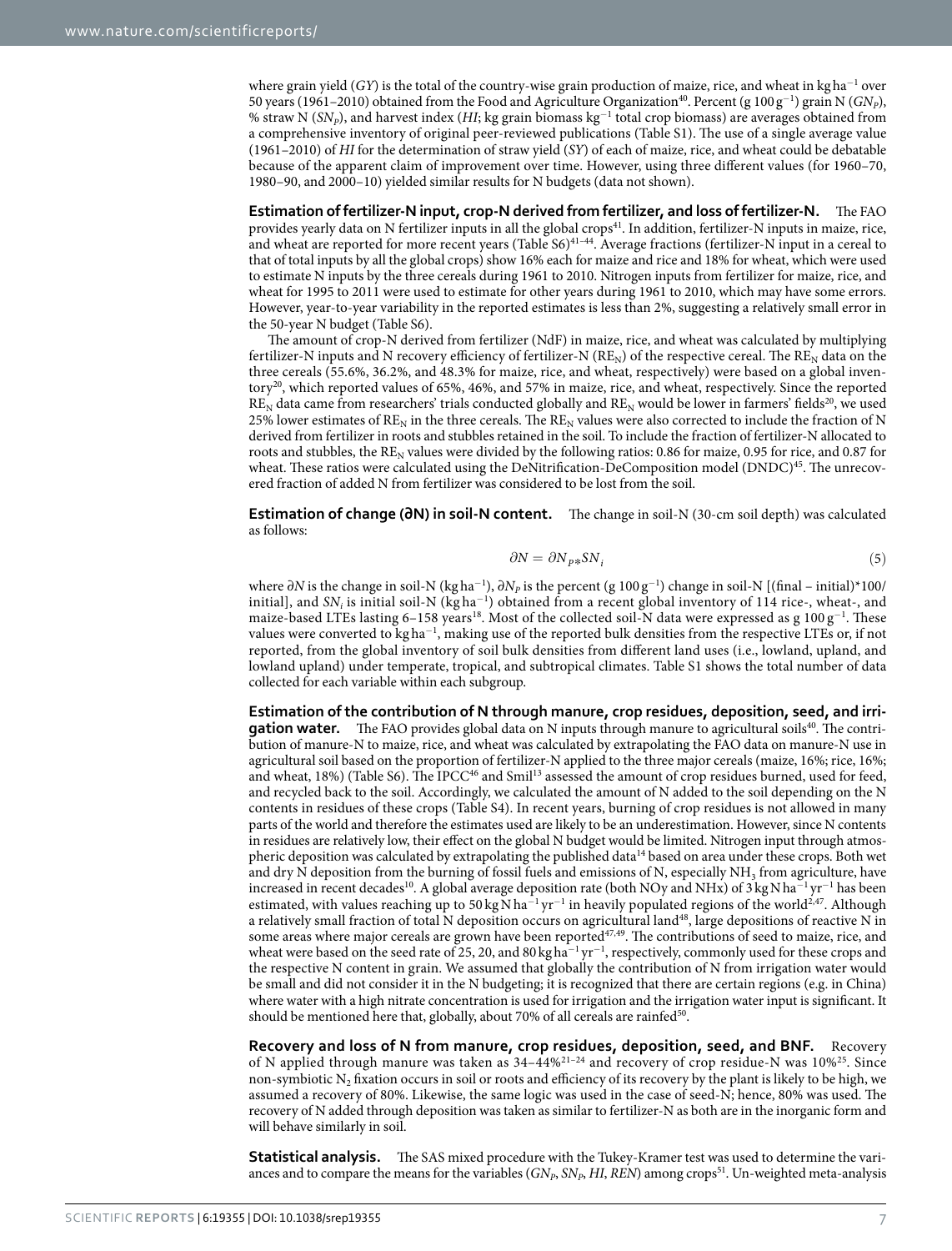where grain yield (GY) is the total of the country-wise grain production of maize, rice, and wheat in kg ha<sup>-1</sup> over 50 years (1961–2010) obtained from the Food and Agriculture Organization<sup>[40](#page-8-12)</sup>. Percent (g  $100 g^{-1}$ ) grain N ( $GN_p$ ), % straw N (SN<sub>P</sub>), and harvest index (HI; kg grain biomass kg<sup>-1</sup> total crop biomass) are averages obtained from a comprehensive inventory of original peer-reviewed publications (Table S1). The use of a single average value (1961–2010) of HI for the determination of straw yield (SY) of each of maize, rice, and wheat could be debatable because of the apparent claim of improvement over time. However, using three different values (for 1960–70, 1980–90, and 2000–10) yielded similar results for N budgets (data not shown).

**Estimation of fertilizer-N input, crop-N derived from fertilizer, and loss of fertilizer-N.** The FAO provides yearly data on N fertilizer inputs in all the global crops<sup>[41](#page-8-13)</sup>. In addition, fertilizer-N inputs in maize, rice, and wheat are reported for more recent years (Table S6)[41–44](#page-8-13). Average fractions (fertilizer-N input in a cereal to that of total inputs by all the global crops) show 16% each for maize and rice and 18% for wheat, which were used to estimate N inputs by the three cereals during 1961 to 2010. Nitrogen inputs from fertilizer for maize, rice, and wheat for 1995 to 2011 were used to estimate for other years during 1961 to 2010, which may have some errors. However, year-to-year variability in the reported estimates is less than 2%, suggesting a relatively small error in the 50-year N budget (Table S6).

The amount of crop-N derived from fertilizer (NdF) in maize, rice, and wheat was calculated by multiplying fertilizer-N inputs and N recovery efficiency of fertilizer-N ( $RE_N$ ) of the respective cereal. The  $RE_N$  data on the three cereals (55.6%, 36.2%, and 48.3% for maize, rice, and wheat, respectively) were based on a global inventory[20](#page-7-10), which reported values of 65%, 46%, and 57% in maize, rice, and wheat, respectively. Since the reported  $RE_N$  data came from researchers' trials conducted globally and  $RE_N$  would be lower in farmers' fields<sup>[20](#page-7-10)</sup>, we used 25% lower estimates of  $RE_N$  in the three cereals. The  $RE_N$  values were also corrected to include the fraction of N derived from fertilizer in roots and stubbles retained in the soil. To include the fraction of fertilizer-N allocated to roots and stubbles, the  $RE_N$  values were divided by the following ratios: 0.86 for maize, 0.95 for rice, and 0.87 for wheat. These ratios were calculated using the DeNitrification-DeComposition model (DNDC)<sup>[45](#page-8-14)</sup>. The unrecovered fraction of added N from fertilizer was considered to be lost from the soil.

**Estimation of change (∂N) in soil-N content.** The change in soil-N (30-cm soil depth) was calculated as follows:

$$
\partial N = \partial N_{P*} S N_i \tag{5}
$$

where ∂N is the change in soil-N (kg ha $^{-1}$ ), ∂N<sub>P</sub> is the percent (g 100 g<sup>-1</sup>) change in soil-N [(final – initial)\*100/ initial], and  $SN_i$  is initial soil-N (kg ha<sup>-1</sup>) obtained from a recent global inventory of 114 rice-, wheat-, and maize-based LTEs lasting 6–158 years<sup>[18](#page-7-8)</sup>. Most of the collected soil-N data were expressed as g 100 g<sup>-1</sup>. These values were converted to kg ha<sup>−</sup><sup>1</sup> , making use of the reported bulk densities from the respective LTEs or, if not reported, from the global inventory of soil bulk densities from different land uses (i.e., lowland, upland, and lowland upland) under temperate, tropical, and subtropical climates. Table S1 shows the total number of data collected for each variable within each subgroup.

**Estimation of the contribution of N through manure, crop residues, deposition, seed, and irrigation water.** The FAO provides global data on N inputs through manure to agricultural soils<sup>[40](#page-8-12)</sup>. The contribution of manure-N to maize, rice, and wheat was calculated by extrapolating the FAO data on manure-N use in agricultural soil based on the proportion of fertilizer-N applied to the three major cereals (maize, 16%; rice, 16%; and wheat, 18%) (Table S6). The IPCC[46](#page-8-15) and Smil[13](#page-7-5) assessed the amount of crop residues burned, used for feed, and recycled back to the soil. Accordingly, we calculated the amount of N added to the soil depending on the N contents in residues of these crops (Table S4). In recent years, burning of crop residues is not allowed in many parts of the world and therefore the estimates used are likely to be an underestimation. However, since N contents in residues are relatively low, their effect on the global N budget would be limited. Nitrogen input through atmos-pheric deposition was calculated by extrapolating the published data<sup>[14](#page-7-16)</sup> based on area under these crops. Both wet and dry N deposition from the burning of fossil fuels and emissions of N, especially NH<sub>3</sub> from agriculture, have increased in recent decades<sup>[10](#page-7-17)</sup>. A global average deposition rate (both NOy and NHx) of 3 kg N ha<sup>-1</sup> yr<sup>-1</sup> has been estimated, with values reaching up to 50 kg N ha<sup>-1</sup> yr<sup>-1</sup> in heavily populated regions of the world<sup>[2,](#page-7-1)[47](#page-8-16)</sup>. Although a relatively small fraction of total N deposition occurs on agricultural land[48](#page-8-17), large depositions of reactive N in some areas where major cereals are grown have been reported<sup>[47](#page-8-16)[,49](#page-8-18)</sup>. The contributions of seed to maize, rice, and wheat were based on the seed rate of 25, 20, and 80 kg ha<sup>-1</sup> yr<sup>-1</sup>, respectively, commonly used for these crops and the respective N content in grain. We assumed that globally the contribution of N from irrigation water would be small and did not consider it in the N budgeting; it is recognized that there are certain regions (e.g. in China) where water with a high nitrate concentration is used for irrigation and the irrigation water input is significant. It should be mentioned here that, globally, about 70% of all cereals are rainfed<sup>[50](#page-8-19)</sup>.

**Recovery and loss of N from manure, crop residues, deposition, seed, and BNF.** Recovery of N applied through manure was taken as  $34-44\%^{21-24}$  and recovery of crop residue-N was  $10\%^{25}$  $10\%^{25}$  $10\%^{25}$ . Since non-symbiotic  $N_2$  fixation occurs in soil or roots and efficiency of its recovery by the plant is likely to be high, we assumed a recovery of 80%. Likewise, the same logic was used in the case of seed-N; hence, 80% was used. The recovery of N added through deposition was taken as similar to fertilizer-N as both are in the inorganic form and will behave similarly in soil.

**Statistical analysis.** The SAS mixed procedure with the Tukey-Kramer test was used to determine the variances and to compare the means for the variables  $(GN_P, SN_P, HI, REN)$  among crops<sup>[51](#page-8-20)</sup>. Un-weighted meta-analysis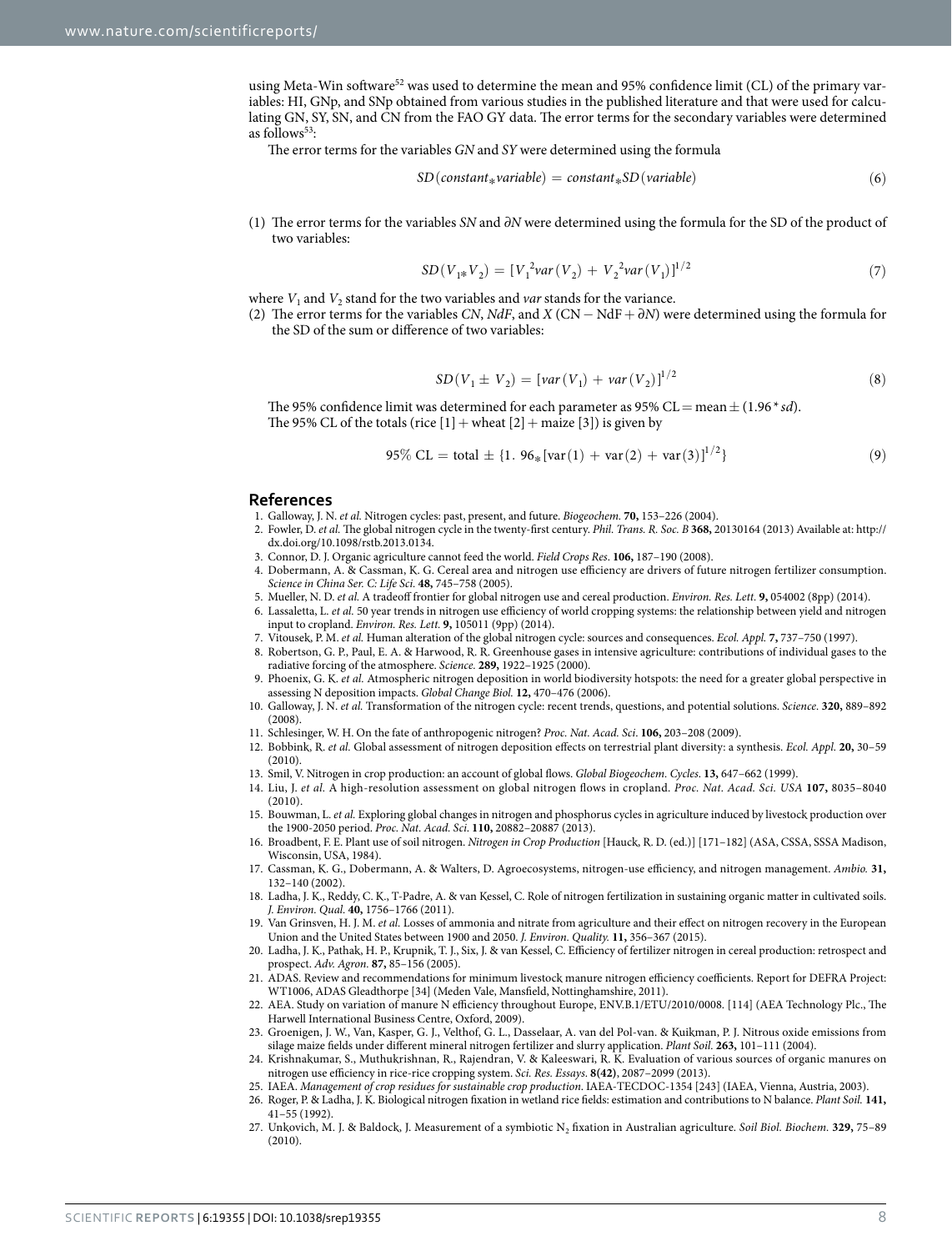using Meta-Win software<sup>[52](#page-8-21)</sup> was used to determine the mean and 95% confidence limit (CL) of the primary variables: HI, GNp, and SNp obtained from various studies in the published literature and that were used for calculating GN, SY, SN, and CN from the FAO GY data. The error terms for the secondary variables were determined as follows $53$ :

The error terms for the variables GN and SY were determined using the formula

$$
SD(constant_* variable) = constant_* SD(variable)
$$
\n(6)

(1) The error terms for the variables SN and ∂N were determined using the formula for the SD of the product of two variables:

$$
SD(V_{1*}V_2) = [V_1^2 var(V_2) + V_2^2 var(V_1)]^{1/2}
$$
\n(7)

where  $V_1$  and  $V_2$  stand for the two variables and *var* stands for the variance.

(2) The error terms for the variables CN, NdF, and X (CN – NdF +  $\partial N$ ) were determined using the formula for the SD of the sum or difference of two variables:

$$
SD(V_1 \pm V_2) = [var(V_1) + var(V_2)]^{1/2}
$$
\n(8)

The 95% confidence limit was determined for each parameter as 95% CL = mean  $\pm$  (1.96  $*$  sd). The 95% CL of the totals (rice  $[1]$  + wheat  $[2]$  + maize  $[3]$ ) is given by

$$
95\% CL = total \pm \{1.96_*[var(1) + var(2) + var(3)]^{1/2}\}\
$$
 (9)

#### **References**

- 1. Galloway, J. N. et al. Nitrogen cycles: past, present, and future. Biogeochem. **70,** 153–226 (2004).
- <span id="page-7-1"></span><span id="page-7-0"></span>2. Fowler, D. et al. The global nitrogen cycle in the twenty-first century. Phil. Trans. R. Soc. B **368,** 20130164 (2013) Available at: [http://](http://dx.doi.org/10.1098/rstb.2013.0134) [dx.doi.org/10.1098/rstb.2013.0134](http://dx.doi.org/10.1098/rstb.2013.0134).
- <span id="page-7-2"></span>3. Connor, D. J. Organic agriculture cannot feed the world. Field Crops Res. **106,** 187–190 (2008).
- <span id="page-7-3"></span>4. Dobermann, A. & Cassman, K. G. Cereal area and nitrogen use efficiency are drivers of future nitrogen fertilizer consumption. Science in China Ser. C: Life Sci. **48,** 745–758 (2005).
- 5. Mueller, N. D. et al. A tradeoff frontier for global nitrogen use and cereal production. Environ. Res. Lett. **9,** 054002 (8pp) (2014).
- 6. Lassaletta, L. et al. 50 year trends in nitrogen use efficiency of world cropping systems: the relationship between yield and nitrogen input to cropland. Environ. Res. Lett. **9,** 105011 (9pp) (2014).
- <span id="page-7-4"></span>7. Vitousek, P. M. et al. Human alteration of the global nitrogen cycle: sources and consequences. Ecol. Appl. **7,** 737–750 (1997).
- 8. Robertson, G. P., Paul, E. A. & Harwood, R. R. Greenhouse gases in intensive agriculture: contributions of individual gases to the radiative forcing of the atmosphere. Science. **289,** 1922–1925 (2000).
- 9. Phoenix, G. K. et al. Atmospheric nitrogen deposition in world biodiversity hotspots: the need for a greater global perspective in assessing N deposition impacts. Global Change Biol. **12,** 470–476 (2006).
- <span id="page-7-17"></span>10. Galloway, J. N. et al. Transformation of the nitrogen cycle: recent trends, questions, and potential solutions. Science. **320,** 889–892 (2008).
- 11. Schlesinger, W. H. On the fate of anthropogenic nitrogen? Proc. Nat. Acad. Sci. **106,** 203–208 (2009).
- 12. Bobbink, R. et al. Global assessment of nitrogen deposition effects on terrestrial plant diversity: a synthesis. Ecol. Appl. **20,** 30–59  $(2010)$
- <span id="page-7-5"></span>13. Smil, V. Nitrogen in crop production: an account of global flows. Global Biogeochem. Cycles. **13,** 647–662 (1999).
- <span id="page-7-16"></span>14. Liu, J. et al. A high-resolution assessment on global nitrogen flows in cropland. Proc. Nat. Acad. Sci. USA **107,** 8035–8040 (2010).
- <span id="page-7-15"></span>15. Bouwman, L. et al. Exploring global changes in nitrogen and phosphorus cycles in agriculture induced by livestock production over the 1900-2050 period. Proc. Nat. Acad. Sci. **110,** 20882–20887 (2013).
- <span id="page-7-6"></span>16. Broadbent, F. E. Plant use of soil nitrogen. Nitrogen in Crop Production [Hauck, R. D. (ed.)] [171–182] (ASA, CSSA, SSSA Madison, Wisconsin, USA, 1984).
- <span id="page-7-7"></span>17. Cassman, K. G., Dobermann, A. & Walters, D. Agroecosystems, nitrogen-use efficiency, and nitrogen management. Ambio. **31,** 132–140 (2002).
- <span id="page-7-8"></span>18. Ladha, J. K., Reddy, C. K., T-Padre, A. & van Kessel, C. Role of nitrogen fertilization in sustaining organic matter in cultivated soils. J. Environ. Qual. **40,** 1756–1766 (2011).
- <span id="page-7-9"></span>19. Van Grinsven, H. J. M. et al. Losses of ammonia and nitrate from agriculture and their effect on nitrogen recovery in the European Union and the United States between 1900 and 2050. J. Environ. Quality. **11,** 356–367 (2015).
- <span id="page-7-10"></span>20. Ladha, J. K., Pathak, H. P., Krupnik, T. J., Six, J. & van Kessel, C. Efficiency of fertilizer nitrogen in cereal production: retrospect and prospect. Adv. Agron. **87,** 85–156 (2005).
- <span id="page-7-11"></span>21. ADAS. Review and recommendations for minimum livestock manure nitrogen efficiency coefficients. Report for DEFRA Project: WT1006, ADAS Gleadthorpe [34] (Meden Vale, Mansfield, Nottinghamshire, 2011).
- 22. AEA. Study on variation of manure N efficiency throughout Europe, ENV.B.1/ETU/2010/0008. [114] (AEA Technology Plc., The Harwell International Business Centre, Oxford, 2009).
- 23. Groenigen, J. W., Van, Kasper, G. J., Velthof, G. L., Dasselaar, A. van del Pol-van. & Kuikman, P. J. Nitrous oxide emissions from silage maize fields under different mineral nitrogen fertilizer and slurry application. Plant Soil. **263,** 101–111 (2004).
- 24. Krishnakumar, S., Muthukrishnan, R., Rajendran, V. & Kaleeswari, R. K. Evaluation of various sources of organic manures on nitrogen use efficiency in rice-rice cropping system. Sci. Res. Essays. **8(42)**, 2087–2099 (2013).
- <span id="page-7-14"></span><span id="page-7-13"></span><span id="page-7-12"></span>25. IAEA. Management of crop residues for sustainable crop production. IAEA-TECDOC-1354 [243] (IAEA, Vienna, Austria, 2003).
	- 26. Roger, P. & Ladha, J. K. Biological nitrogen fixation in wetland rice fields: estimation and contributions to N balance. Plant Soil. **141,** 41–55 (1992).
	- 27. Unkovich, M. J. & Baldock, J. Measurement of a symbiotic N<sup>2</sup> fixation in Australian agriculture. Soil Biol. Biochem. **329,** 75–89 (2010).